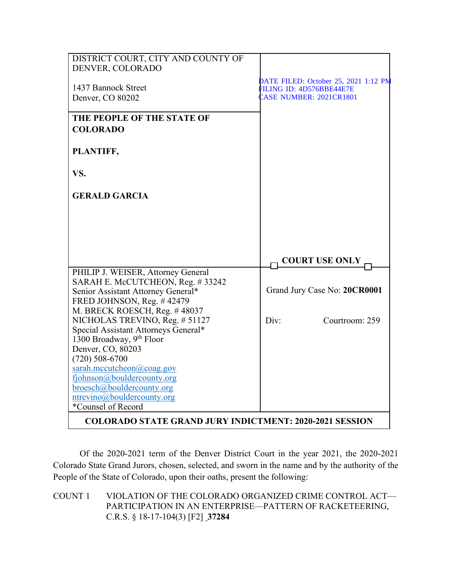| DISTRICT COURT, CITY AND COUNTY OF<br>DENVER, COLORADO                 |                                      |
|------------------------------------------------------------------------|--------------------------------------|
|                                                                        | DATE FILED: October 25, 2021 1:12 PM |
| 1437 Bannock Street                                                    | FILING ID: 4D576BBE44E7E             |
| Denver, CO 80202                                                       | <b>CASE NUMBER: 2021CR1801</b>       |
| THE PEOPLE OF THE STATE OF<br><b>COLORADO</b>                          |                                      |
| PLANTIFF,                                                              |                                      |
| VS.                                                                    |                                      |
| <b>GERALD GARCIA</b>                                                   |                                      |
|                                                                        |                                      |
|                                                                        |                                      |
|                                                                        | <b>COURT USE ONLY</b>                |
| PHILIP J. WEISER, Attorney General                                     |                                      |
| SARAH E. McCUTCHEON, Reg. #33242<br>Senior Assistant Attorney General* | Grand Jury Case No: 20CR0001         |
| FRED JOHNSON, Reg. #42479                                              |                                      |
| M. BRECK ROESCH, Reg. #48037                                           |                                      |
| NICHOLAS TREVINO, Reg. # 51127<br>Special Assistant Attorneys General* | Div:<br>Courtroom: 259               |
| 1300 Broadway, 9 <sup>th</sup> Floor                                   |                                      |
| Denver, CO, 80203                                                      |                                      |
| $(720)$ 508-6700                                                       |                                      |
| sarah.mccutcheon@coag.gov                                              |                                      |
| fjohnson@bouldercounty.org                                             |                                      |
| broesch@bouldercounty.org                                              |                                      |
| ntrevino@bouldercounty.org<br>*Counsel of Record                       |                                      |
|                                                                        |                                      |
| <b>COLORADO STATE GRAND JURY INDICTMENT: 2020-2021 SESSION</b>         |                                      |

Of the 2020-2021 term of the Denver District Court in the year 2021, the 2020-2021 Colorado State Grand Jurors, chosen, selected, and sworn in the name and by the authority of the People of the State of Colorado, upon their oaths, present the following:

COUNT 1 VIOLATION OF THE COLORADO ORGANIZED CRIME CONTROL ACT— PARTICIPATION IN AN ENTERPRISE—PATTERN OF RACKETEERING, C.R.S. § 18-17-104(3) [F2] **37284**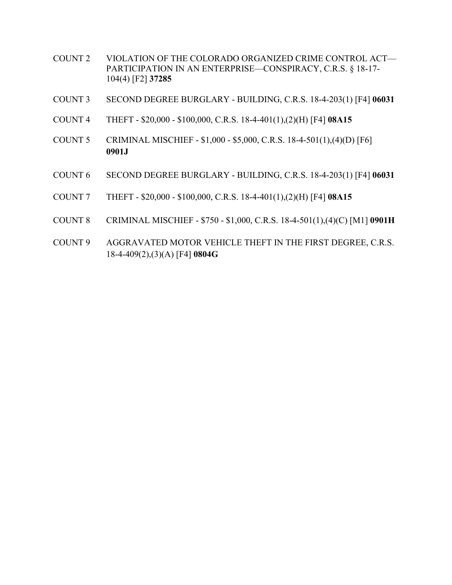- COUNT 2 VIOLATION OF THE COLORADO ORGANIZED CRIME CONTROL ACT— PARTICIPATION IN AN ENTERPRISE—CONSPIRACY, C.R.S. § 18-17- 104(4) [F2] **37285**
- COUNT 3 SECOND DEGREE BURGLARY BUILDING, C.R.S. 18-4-203(1) [F4] **06031**
- COUNT 4 THEFT \$20,000 \$100,000, C.R.S. 18-4-401(1),(2)(H) [F4] **08A15**
- COUNT 5 CRIMINAL MISCHIEF \$1,000 \$5,000, C.R.S. 18-4-501(1),(4)(D) [F6] **0901J**
- COUNT 6 SECOND DEGREE BURGLARY BUILDING, C.R.S. 18-4-203(1) [F4] **06031**
- COUNT 7 THEFT \$20,000 \$100,000, C.R.S. 18-4-401(1),(2)(H) [F4] **08A15**
- COUNT 8 CRIMINAL MISCHIEF \$750 \$1,000, C.R.S. 18-4-501(1),(4)(C) [M1] **0901H**
- COUNT 9 AGGRAVATED MOTOR VEHICLE THEFT IN THE FIRST DEGREE, C.R.S. 18-4-409(2),(3)(A) [F4] **0804G**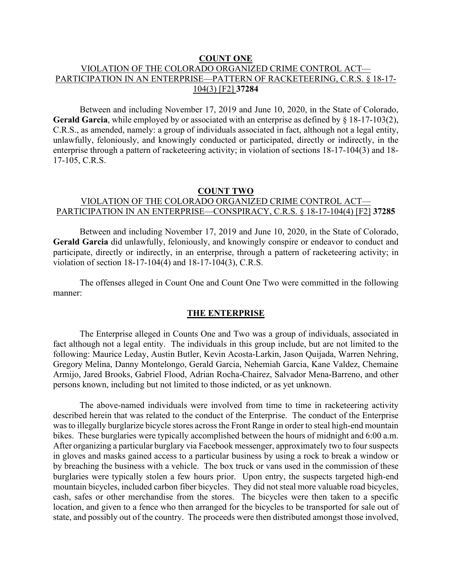#### **COUNT ONE**

## VIOLATION OF THE COLORADO ORGANIZED CRIME CONTROL ACT— PARTICIPATION IN AN ENTERPRISE—PATTERN OF RACKETEERING, C.R.S. § 18-17- 104(3) [F2] **37284**

Between and including November 17, 2019 and June 10, 2020, in the State of Colorado, **Gerald Garcia**, while employed by or associated with an enterprise as defined by § 18-17-103(2), C.R.S., as amended, namely: a group of individuals associated in fact, although not a legal entity, unlawfully, feloniously, and knowingly conducted or participated, directly or indirectly, in the enterprise through a pattern of racketeering activity; in violation of sections 18-17-104(3) and 18- 17-105, C.R.S.

### **COUNT TWO** VIOLATION OF THE COLORADO ORGANIZED CRIME CONTROL ACT— PARTICIPATION IN AN ENTERPRISE—CONSPIRACY, C.R.S. § 18-17-104(4) [F2] **37285**

Between and including November 17, 2019 and June 10, 2020, in the State of Colorado, **Gerald Garcia** did unlawfully, feloniously, and knowingly conspire or endeavor to conduct and participate, directly or indirectly, in an enterprise, through a pattern of racketeering activity; in violation of section 18-17-104(4) and 18-17-104(3), C.R.S.

The offenses alleged in Count One and Count One Two were committed in the following manner:

### **THE ENTERPRISE**

The Enterprise alleged in Counts One and Two was a group of individuals, associated in fact although not a legal entity. The individuals in this group include, but are not limited to the following: Maurice Leday, Austin Butler, Kevin Acosta-Larkin, Jason Quijada, Warren Nehring, Gregory Melina, Danny Montelongo, Gerald Garcia, Nehemiah Garcia, Kane Valdez, Chemaine Armijo, Jared Brooks, Gabriel Flood, Adrian Rocha-Chairez, Salvador Mena-Barreno, and other persons known, including but not limited to those indicted, or as yet unknown.

The above-named individuals were involved from time to time in racketeering activity described herein that was related to the conduct of the Enterprise. The conduct of the Enterprise was to illegally burglarize bicycle stores across the Front Range in order to steal high-end mountain bikes. These burglaries were typically accomplished between the hours of midnight and 6:00 a.m. After organizing a particular burglary via Facebook messenger, approximately two to four suspects in gloves and masks gained access to a particular business by using a rock to break a window or by breaching the business with a vehicle. The box truck or vans used in the commission of these burglaries were typically stolen a few hours prior. Upon entry, the suspects targeted high-end mountain bicycles, included carbon fiber bicycles. They did not steal more valuable road bicycles, cash, safes or other merchandise from the stores. The bicycles were then taken to a specific location, and given to a fence who then arranged for the bicycles to be transported for sale out of state, and possibly out of the country. The proceeds were then distributed amongst those involved,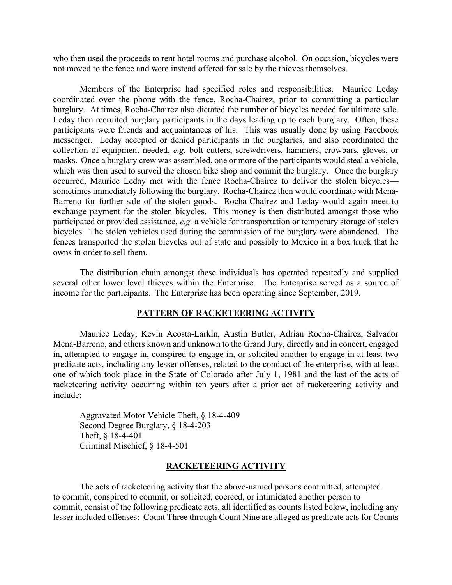who then used the proceeds to rent hotel rooms and purchase alcohol. On occasion, bicycles were not moved to the fence and were instead offered for sale by the thieves themselves.

Members of the Enterprise had specified roles and responsibilities. Maurice Leday coordinated over the phone with the fence, Rocha-Chairez, prior to committing a particular burglary. At times, Rocha-Chairez also dictated the number of bicycles needed for ultimate sale. Leday then recruited burglary participants in the days leading up to each burglary. Often, these participants were friends and acquaintances of his. This was usually done by using Facebook messenger. Leday accepted or denied participants in the burglaries, and also coordinated the collection of equipment needed, *e.g.* bolt cutters, screwdrivers, hammers, crowbars, gloves, or masks. Once a burglary crew was assembled, one or more of the participants would steal a vehicle, which was then used to surveil the chosen bike shop and commit the burglary. Once the burglary occurred, Maurice Leday met with the fence Rocha-Chairez to deliver the stolen bicycles sometimes immediately following the burglary. Rocha-Chairez then would coordinate with Mena-Barreno for further sale of the stolen goods. Rocha-Chairez and Leday would again meet to exchange payment for the stolen bicycles. This money is then distributed amongst those who participated or provided assistance, *e.g.* a vehicle for transportation or temporary storage of stolen bicycles. The stolen vehicles used during the commission of the burglary were abandoned. The fences transported the stolen bicycles out of state and possibly to Mexico in a box truck that he owns in order to sell them.

The distribution chain amongst these individuals has operated repeatedly and supplied several other lower level thieves within the Enterprise. The Enterprise served as a source of income for the participants. The Enterprise has been operating since September, 2019.

#### **PATTERN OF RACKETEERING ACTIVITY**

Maurice Leday, Kevin Acosta-Larkin, Austin Butler, Adrian Rocha-Chairez, Salvador Mena-Barreno, and others known and unknown to the Grand Jury, directly and in concert, engaged in, attempted to engage in, conspired to engage in, or solicited another to engage in at least two predicate acts, including any lesser offenses, related to the conduct of the enterprise, with at least one of which took place in the State of Colorado after July 1, 1981 and the last of the acts of racketeering activity occurring within ten years after a prior act of racketeering activity and include:

Aggravated Motor Vehicle Theft, § 18-4-409 Second Degree Burglary, § 18-4-203 Theft, § 18-4-401 Criminal Mischief, § 18-4-501

#### **RACKETEERING ACTIVITY**

The acts of racketeering activity that the above-named persons committed, attempted to commit, conspired to commit, or solicited, coerced, or intimidated another person to commit, consist of the following predicate acts, all identified as counts listed below, including any lesser included offenses: Count Three through Count Nine are alleged as predicate acts for Counts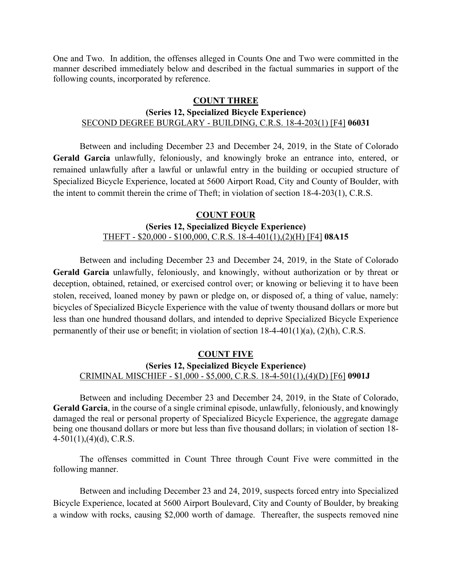One and Two. In addition, the offenses alleged in Counts One and Two were committed in the manner described immediately below and described in the factual summaries in support of the following counts, incorporated by reference.

#### **COUNT THREE**

## **(Series 12, Specialized Bicycle Experience)** SECOND DEGREE BURGLARY - BUILDING, C.R.S. 18-4-203(1) [F4] **06031**

Between and including December 23 and December 24, 2019, in the State of Colorado **Gerald Garcia** unlawfully, feloniously, and knowingly broke an entrance into, entered, or remained unlawfully after a lawful or unlawful entry in the building or occupied structure of Specialized Bicycle Experience, located at 5600 Airport Road, City and County of Boulder, with the intent to commit therein the crime of Theft; in violation of section 18-4-203(1), C.R.S.

## **COUNT FOUR (Series 12, Specialized Bicycle Experience)** THEFT - \$20,000 - \$100,000, C.R.S. 18-4-401(1),(2)(H) [F4] **08A15**

Between and including December 23 and December 24, 2019, in the State of Colorado **Gerald Garcia** unlawfully, feloniously, and knowingly, without authorization or by threat or deception, obtained, retained, or exercised control over; or knowing or believing it to have been stolen, received, loaned money by pawn or pledge on, or disposed of, a thing of value, namely: bicycles of Specialized Bicycle Experience with the value of twenty thousand dollars or more but less than one hundred thousand dollars, and intended to deprive Specialized Bicycle Experience permanently of their use or benefit; in violation of section 18-4-401(1)(a), (2)(h), C.R.S.

#### **COUNT FIVE**

### **(Series 12, Specialized Bicycle Experience)** CRIMINAL MISCHIEF - \$1,000 - \$5,000, C.R.S. 18-4-501(1),(4)(D) [F6] **0901J**

Between and including December 23 and December 24, 2019, in the State of Colorado, **Gerald Garcia**, in the course of a single criminal episode, unlawfully, feloniously, and knowingly damaged the real or personal property of Specialized Bicycle Experience, the aggregate damage being one thousand dollars or more but less than five thousand dollars; in violation of section 18- 4-501(1),(4)(d), C.R.S.

The offenses committed in Count Three through Count Five were committed in the following manner.

Between and including December 23 and 24, 2019, suspects forced entry into Specialized Bicycle Experience, located at 5600 Airport Boulevard, City and County of Boulder, by breaking a window with rocks, causing \$2,000 worth of damage. Thereafter, the suspects removed nine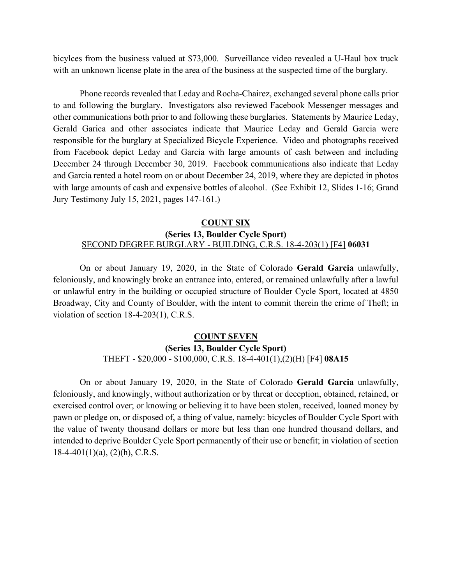bicylces from the business valued at \$73,000. Surveillance video revealed a U-Haul box truck with an unknown license plate in the area of the business at the suspected time of the burglary.

Phone records revealed that Leday and Rocha-Chairez, exchanged several phone calls prior to and following the burglary. Investigators also reviewed Facebook Messenger messages and other communications both prior to and following these burglaries. Statements by Maurice Leday, Gerald Garica and other associates indicate that Maurice Leday and Gerald Garcia were responsible for the burglary at Specialized Bicycle Experience. Video and photographs received from Facebook depict Leday and Garcia with large amounts of cash between and including December 24 through December 30, 2019. Facebook communications also indicate that Leday and Garcia rented a hotel room on or about December 24, 2019, where they are depicted in photos with large amounts of cash and expensive bottles of alcohol. (See Exhibit 12, Slides 1-16; Grand Jury Testimony July 15, 2021, pages 147-161.)

### **COUNT SIX (Series 13, Boulder Cycle Sport)** SECOND DEGREE BURGLARY - BUILDING, C.R.S. 18-4-203(1) [F4] **06031**

On or about January 19, 2020, in the State of Colorado **Gerald Garcia** unlawfully, feloniously, and knowingly broke an entrance into, entered, or remained unlawfully after a lawful or unlawful entry in the building or occupied structure of Boulder Cycle Sport, located at 4850 Broadway, City and County of Boulder, with the intent to commit therein the crime of Theft; in violation of section 18-4-203(1), C.R.S.

### **COUNT SEVEN (Series 13, Boulder Cycle Sport)** THEFT - \$20,000 - \$100,000, C.R.S. 18-4-401(1),(2)(H) [F4] **08A15**

On or about January 19, 2020, in the State of Colorado **Gerald Garcia** unlawfully, feloniously, and knowingly, without authorization or by threat or deception, obtained, retained, or exercised control over; or knowing or believing it to have been stolen, received, loaned money by pawn or pledge on, or disposed of, a thing of value, namely: bicycles of Boulder Cycle Sport with the value of twenty thousand dollars or more but less than one hundred thousand dollars, and intended to deprive Boulder Cycle Sport permanently of their use or benefit; in violation of section  $18-4-401(1)(a)$ ,  $(2)(h)$ , C.R.S.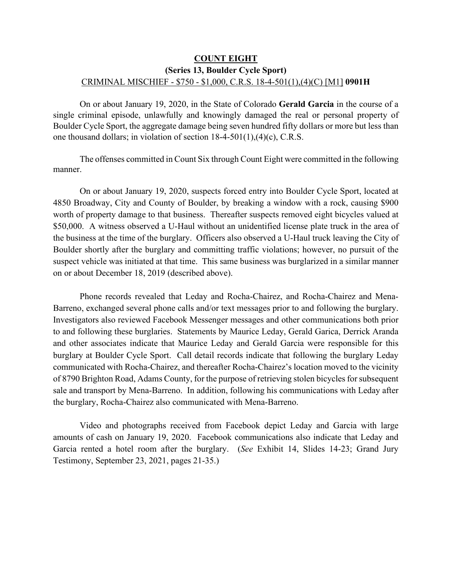## **COUNT EIGHT (Series 13, Boulder Cycle Sport)** CRIMINAL MISCHIEF - \$750 - \$1,000, C.R.S. 18-4-501(1),(4)(C) [M1] **0901H**

On or about January 19, 2020, in the State of Colorado **Gerald Garcia** in the course of a single criminal episode, unlawfully and knowingly damaged the real or personal property of Boulder Cycle Sport, the aggregate damage being seven hundred fifty dollars or more but less than one thousand dollars; in violation of section 18-4-501(1),(4)(c), C.R.S.

The offenses committed in Count Six through Count Eight were committed in the following manner.

On or about January 19, 2020, suspects forced entry into Boulder Cycle Sport, located at 4850 Broadway, City and County of Boulder, by breaking a window with a rock, causing \$900 worth of property damage to that business. Thereafter suspects removed eight bicycles valued at \$50,000. A witness observed a U-Haul without an unidentified license plate truck in the area of the business at the time of the burglary. Officers also observed a U-Haul truck leaving the City of Boulder shortly after the burglary and committing traffic violations; however, no pursuit of the suspect vehicle was initiated at that time. This same business was burglarized in a similar manner on or about December 18, 2019 (described above).

Phone records revealed that Leday and Rocha-Chairez, and Rocha-Chairez and Mena-Barreno, exchanged several phone calls and/or text messages prior to and following the burglary. Investigators also reviewed Facebook Messenger messages and other communications both prior to and following these burglaries. Statements by Maurice Leday, Gerald Garica, Derrick Aranda and other associates indicate that Maurice Leday and Gerald Garcia were responsible for this burglary at Boulder Cycle Sport. Call detail records indicate that following the burglary Leday communicated with Rocha-Chairez, and thereafter Rocha-Chairez's location moved to the vicinity of 8790 Brighton Road, Adams County, for the purpose of retrieving stolen bicycles for subsequent sale and transport by Mena-Barreno. In addition, following his communications with Leday after the burglary, Rocha-Chairez also communicated with Mena-Barreno.

Video and photographs received from Facebook depict Leday and Garcia with large amounts of cash on January 19, 2020. Facebook communications also indicate that Leday and Garcia rented a hotel room after the burglary. (*See* Exhibit 14, Slides 14-23; Grand Jury Testimony, September 23, 2021, pages 21-35.)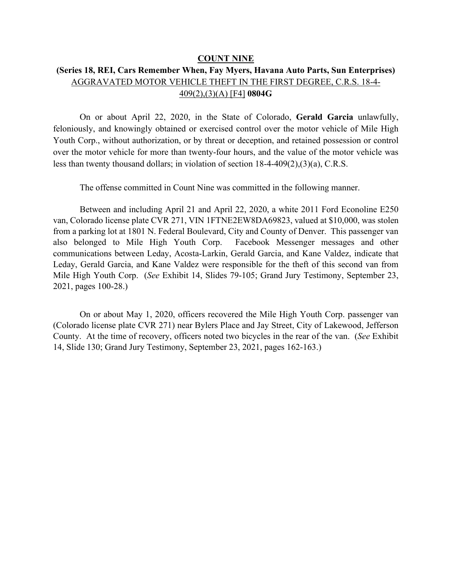#### **COUNT NINE**

# **(Series 18, REI, Cars Remember When, Fay Myers, Havana Auto Parts, Sun Enterprises)** AGGRAVATED MOTOR VEHICLE THEFT IN THE FIRST DEGREE, C.R.S. 18-4- 409(2),(3)(A) [F4] **0804G**

On or about April 22, 2020, in the State of Colorado, **Gerald Garcia** unlawfully, feloniously, and knowingly obtained or exercised control over the motor vehicle of Mile High Youth Corp., without authorization, or by threat or deception, and retained possession or control over the motor vehicle for more than twenty-four hours, and the value of the motor vehicle was less than twenty thousand dollars; in violation of section 18-4-409(2),(3)(a), C.R.S.

The offense committed in Count Nine was committed in the following manner.

Between and including April 21 and April 22, 2020, a white 2011 Ford Econoline E250 van, Colorado license plate CVR 271, VIN 1FTNE2EW8DA69823, valued at \$10,000, was stolen from a parking lot at 1801 N. Federal Boulevard, City and County of Denver. This passenger van also belonged to Mile High Youth Corp. Facebook Messenger messages and other communications between Leday, Acosta-Larkin, Gerald Garcia, and Kane Valdez, indicate that Leday, Gerald Garcia, and Kane Valdez were responsible for the theft of this second van from Mile High Youth Corp. (*See* Exhibit 14, Slides 79-105; Grand Jury Testimony, September 23, 2021, pages 100-28.)

On or about May 1, 2020, officers recovered the Mile High Youth Corp. passenger van (Colorado license plate CVR 271) near Bylers Place and Jay Street, City of Lakewood, Jefferson County. At the time of recovery, officers noted two bicycles in the rear of the van. (*See* Exhibit 14, Slide 130; Grand Jury Testimony, September 23, 2021, pages 162-163.)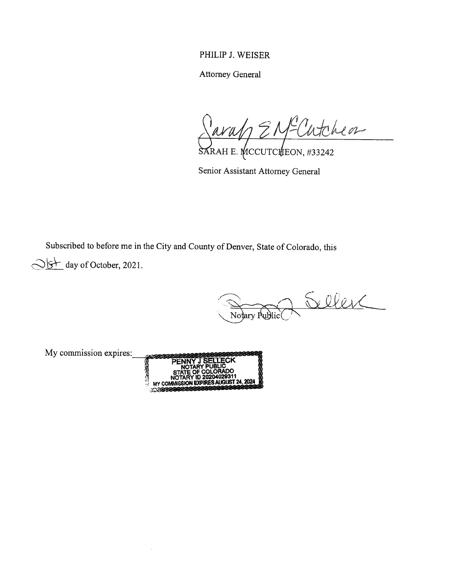PHILIP J. WEISER

Attorney General

Jarah EN Cutcheon

SARAH E. MCCUTCHEON, #33242

Senior Assistant Attorney General

Subscribed to before me in the City and County of Denver, State of Colorado, this

day of October, 2021.

Notary Fublic Celler

My commission expires: